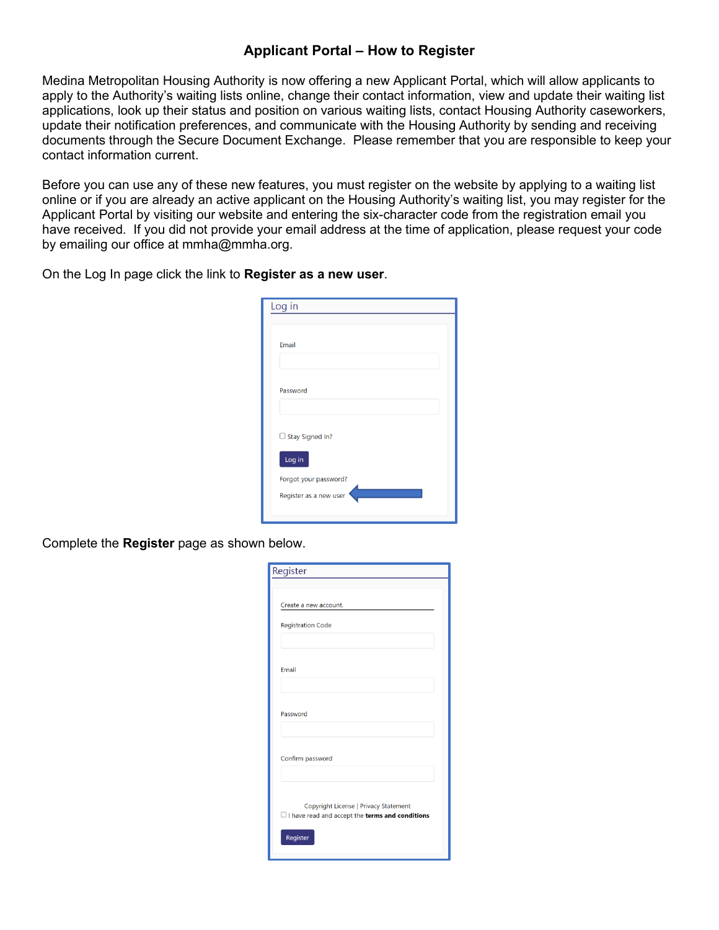## **Applicant Portal – How to Register**

Medina Metropolitan Housing Authority is now offering a new Applicant Portal, which will allow applicants to apply to the Authority's waiting lists online, change their contact information, view and update their waiting list applications, look up their status and position on various waiting lists, contact Housing Authority caseworkers, update their notification preferences, and communicate with the Housing Authority by sending and receiving documents through the Secure Document Exchange. Please remember that you are responsible to keep your contact information current.

Before you can use any of these new features, you must register on the website by applying to a waiting list online or if you are already an active applicant on the Housing Authority's waiting list, you may register for the Applicant Portal by visiting our website and entering the six-character code from the registration email you have received. If you did not provide your email address at the time of application, please request your code by emailing our office at mmha@mmha.org.

On the Log In page click the link to **Register as a new user**.

| Log in                                          |
|-------------------------------------------------|
| Email                                           |
| Password                                        |
| $\Box$ Stay Signed In?<br>Log in                |
| Forgot your password?<br>Register as a new user |

Complete the **Register** page as shown below.

| Register                                                                                               |  |  |
|--------------------------------------------------------------------------------------------------------|--|--|
|                                                                                                        |  |  |
| Create a new account.                                                                                  |  |  |
| <b>Registration Code</b>                                                                               |  |  |
|                                                                                                        |  |  |
| Email                                                                                                  |  |  |
|                                                                                                        |  |  |
|                                                                                                        |  |  |
| Password                                                                                               |  |  |
|                                                                                                        |  |  |
| Confirm password                                                                                       |  |  |
|                                                                                                        |  |  |
| Copyright License   Privacy Statement<br>$\Box$ I have read and accept the <b>terms and conditions</b> |  |  |
| Register                                                                                               |  |  |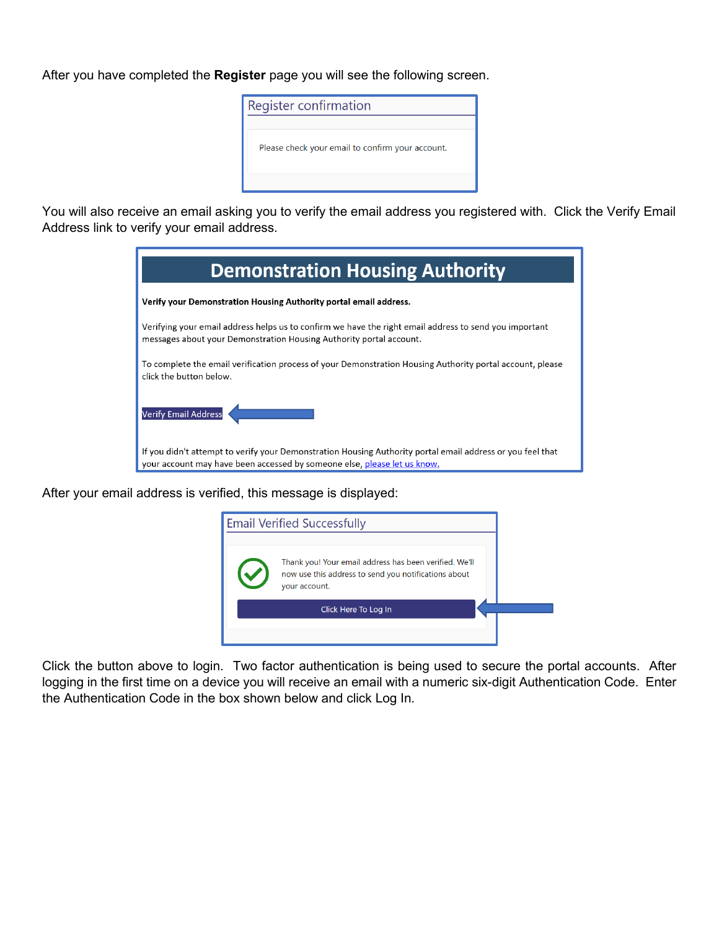After you have completed the **Register** page you will see the following screen.



You will also receive an email asking you to verify the email address you registered with. Click the Verify Email Address link to verify your email address.

| <b>Demonstration Housing Authority</b>                                                                                                                                                 |  |  |
|----------------------------------------------------------------------------------------------------------------------------------------------------------------------------------------|--|--|
| Verify your Demonstration Housing Authority portal email address.                                                                                                                      |  |  |
| Verifying your email address helps us to confirm we have the right email address to send you important<br>messages about your Demonstration Housing Authority portal account.          |  |  |
| To complete the email verification process of your Demonstration Housing Authority portal account, please<br>click the button below.                                                   |  |  |
| <b>Verify Email Address</b>                                                                                                                                                            |  |  |
| If you didn't attempt to verify your Demonstration Housing Authority portal email address or you feel that<br>your account may have been accessed by someone else, please let us know. |  |  |

After your email address is verified, this message is displayed:



Click the button above to login. Two factor authentication is being used to secure the portal accounts. After logging in the first time on a device you will receive an email with a numeric six-digit Authentication Code. Enter the Authentication Code in the box shown below and click Log In.